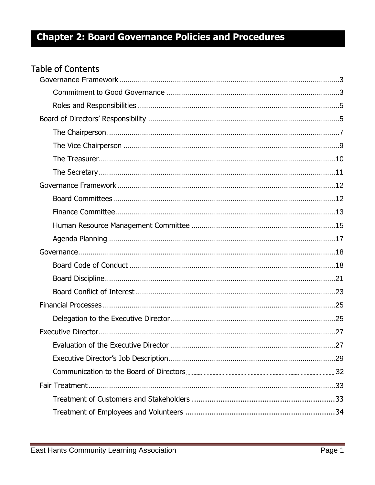## **Table of Contents**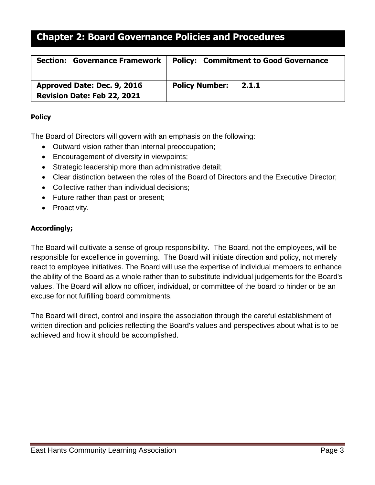| <b>Section: Governance Framework</b> | <b>Policy: Commitment to Good Governance</b> |
|--------------------------------------|----------------------------------------------|
| Approved Date: Dec. 9, 2016          | <b>Policy Number:</b>                        |
| <b>Revision Date: Feb 22, 2021</b>   | 2.1.1                                        |

## <span id="page-2-0"></span>**Policy**

The Board of Directors will govern with an emphasis on the following:

- Outward vision rather than internal preoccupation;
- Encouragement of diversity in viewpoints;
- Strategic leadership more than administrative detail;
- Clear distinction between the roles of the Board of Directors and the Executive Director;
- Collective rather than individual decisions;
- Future rather than past or present;
- Proactivity.

## <span id="page-2-1"></span>**Accordingly;**

The Board will cultivate a sense of group responsibility. The Board, not the employees, will be responsible for excellence in governing. The Board will initiate direction and policy, not merely react to employee initiatives. The Board will use the expertise of individual members to enhance the ability of the Board as a whole rather than to substitute individual judgements for the Board's values. The Board will allow no officer, individual, or committee of the board to hinder or be an excuse for not fulfilling board commitments.

The Board will direct, control and inspire the association through the careful establishment of written direction and policies reflecting the Board's values and perspectives about what is to be achieved and how it should be accomplished.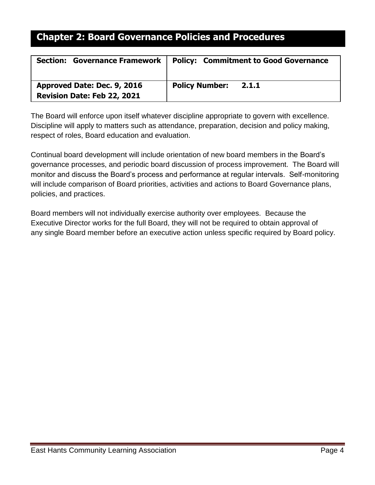| <b>Governance Framework</b>  <br><b>Section:</b> | <b>Policy: Commitment to Good Governance</b> |
|--------------------------------------------------|----------------------------------------------|
| Approved Date: Dec. 9, 2016                      | <b>Policy Number:</b>                        |
| <b>Revision Date: Feb 22, 2021</b>               | 2.1.1                                        |

The Board will enforce upon itself whatever discipline appropriate to govern with excellence. Discipline will apply to matters such as attendance, preparation, decision and policy making, respect of roles, Board education and evaluation.

Continual board development will include orientation of new board members in the Board's governance processes, and periodic board discussion of process improvement. The Board will monitor and discuss the Board's process and performance at regular intervals. Self-monitoring will include comparison of Board priorities, activities and actions to Board Governance plans, policies, and practices.

Board members will not individually exercise authority over employees. Because the Executive Director works for the full Board, they will not be required to obtain approval of any single Board member before an executive action unless specific required by Board policy.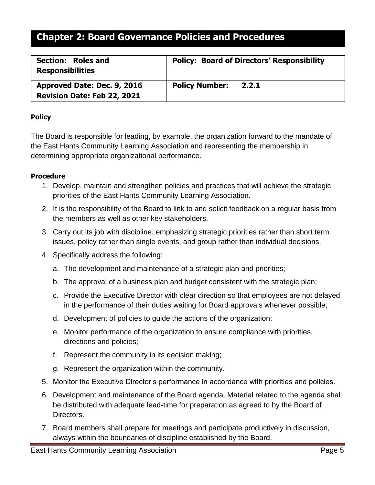| Section: Roles and<br><b>Responsibilities</b> | <b>Policy: Board of Directors' Responsibility</b> |
|-----------------------------------------------|---------------------------------------------------|
| Approved Date: Dec. 9, 2016                   | <b>Policy Number:</b>                             |
| <b>Revision Date: Feb 22, 2021</b>            | 2.2.1                                             |

## <span id="page-4-0"></span>**Policy**

The Board is responsible for leading, by example, the organization forward to the mandate of the East Hants Community Learning Association and representing the membership in determining appropriate organizational performance.

- <span id="page-4-1"></span>1. Develop, maintain and strengthen policies and practices that will achieve the strategic priorities of the East Hants Community Learning Association.
- 2. It is the responsibility of the Board to link to and solicit feedback on a regular basis from the members as well as other key stakeholders.
- 3. Carry out its job with discipline, emphasizing strategic priorities rather than short term issues, policy rather than single events, and group rather than individual decisions.
- 4. Specifically address the following:
	- a. The development and maintenance of a strategic plan and priorities;
	- b. The approval of a business plan and budget consistent with the strategic plan;
	- c. Provide the Executive Director with clear direction so that employees are not delayed in the performance of their duties waiting for Board approvals whenever possible;
	- d. Development of policies to guide the actions of the organization;
	- e. Monitor performance of the organization to ensure compliance with priorities, directions and policies;
	- f. Represent the community in its decision making;
	- g. Represent the organization within the community.
- 5. Monitor the Executive Director's performance in accordance with priorities and policies.
- 6. Development and maintenance of the Board agenda. Material related to the agenda shall be distributed with adequate lead-time for preparation as agreed to by the Board of Directors.
- 7. Board members shall prepare for meetings and participate productively in discussion, always within the boundaries of discipline established by the Board.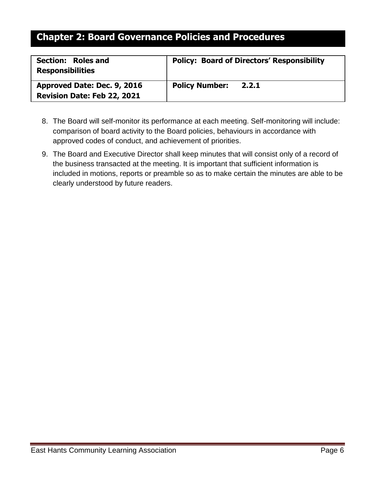| Section: Roles and<br><b>Responsibilities</b> | <b>Policy: Board of Directors' Responsibility</b> |
|-----------------------------------------------|---------------------------------------------------|
| Approved Date: Dec. 9, 2016                   | <b>Policy Number:</b>                             |
| Revision Date: Feb 22, 2021                   | 2.2.1                                             |

- 8. The Board will self-monitor its performance at each meeting. Self-monitoring will include: comparison of board activity to the Board policies, behaviours in accordance with approved codes of conduct, and achievement of priorities.
- 9. The Board and Executive Director shall keep minutes that will consist only of a record of the business transacted at the meeting. It is important that sufficient information is included in motions, reports or preamble so as to make certain the minutes are able to be clearly understood by future readers.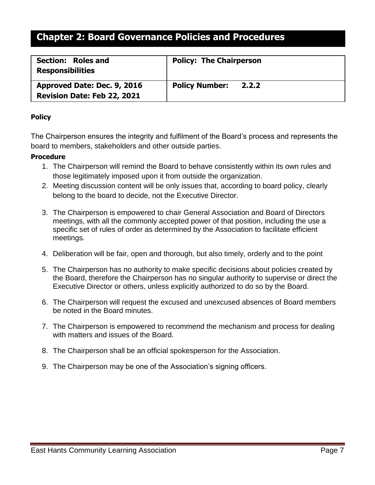| <b>Section: Roles and</b><br><b>Responsibilities</b> | <b>Policy: The Chairperson</b> |
|------------------------------------------------------|--------------------------------|
| Approved Date: Dec. 9, 2016                          | <b>Policy Number:</b>          |
| <b>Revision Date: Feb 22, 2021</b>                   | 2.2.2                          |

## <span id="page-6-0"></span>**Policy**

The Chairperson ensures the integrity and fulfilment of the Board's process and represents the board to members, stakeholders and other outside parties.

- 1. The Chairperson will remind the Board to behave consistently within its own rules and those legitimately imposed upon it from outside the organization.
- 2. Meeting discussion content will be only issues that, according to board policy, clearly belong to the board to decide, not the Executive Director.
- 3. The Chairperson is empowered to chair General Association and Board of Directors meetings, with all the commonly accepted power of that position, including the use a specific set of rules of order as determined by the Association to facilitate efficient meetings.
- 4. Deliberation will be fair, open and thorough, but also timely, orderly and to the point
- 5. The Chairperson has no authority to make specific decisions about policies created by the Board, therefore the Chairperson has no singular authority to supervise or direct the Executive Director or others, unless explicitly authorized to do so by the Board.
- 6. The Chairperson will request the excused and unexcused absences of Board members be noted in the Board minutes.
- 7. The Chairperson is empowered to recommend the mechanism and process for dealing with matters and issues of the Board.
- 8. The Chairperson shall be an official spokesperson for the Association.
- 9. The Chairperson may be one of the Association's signing officers.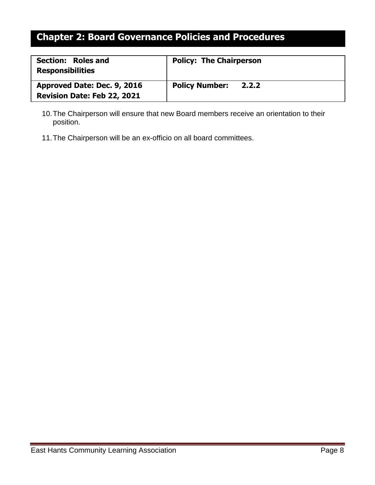| <b>Section: Roles and</b><br><b>Responsibilities</b> | <b>Policy: The Chairperson</b> |
|------------------------------------------------------|--------------------------------|
| Approved Date: Dec. 9, 2016                          | <b>Policy Number:</b>          |
| <b>Revision Date: Feb 22, 2021</b>                   | 2.2.2                          |

- 10.The Chairperson will ensure that new Board members receive an orientation to their position.
- 11.The Chairperson will be an ex-officio on all board committees.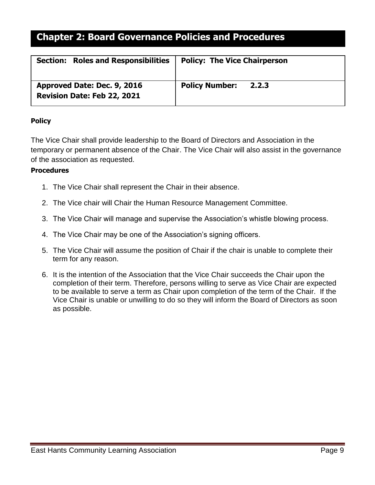| <b>Section: Roles and Responsibilities</b> | <b>Policy: The Vice Chairperson</b> |
|--------------------------------------------|-------------------------------------|
| Approved Date: Dec. 9, 2016                | <b>Policy Number:</b>               |
| <b>Revision Date: Feb 22, 2021</b>         | 2.2.3                               |

## <span id="page-8-0"></span>**Policy**

The Vice Chair shall provide leadership to the Board of Directors and Association in the temporary or permanent absence of the Chair. The Vice Chair will also assist in the governance of the association as requested.

- 1. The Vice Chair shall represent the Chair in their absence.
- 2. The Vice chair will Chair the Human Resource Management Committee.
- 3. The Vice Chair will manage and supervise the Association's whistle blowing process.
- 4. The Vice Chair may be one of the Association's signing officers.
- 5. The Vice Chair will assume the position of Chair if the chair is unable to complete their term for any reason.
- 6. It is the intention of the Association that the Vice Chair succeeds the Chair upon the completion of their term. Therefore, persons willing to serve as Vice Chair are expected to be available to serve a term as Chair upon completion of the term of the Chair. If the Vice Chair is unable or unwilling to do so they will inform the Board of Directors as soon as possible.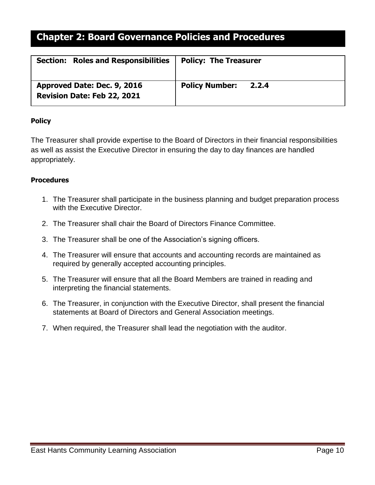| <b>Section: Roles and Responsibilities</b> | <b>Policy: The Treasurer</b> |
|--------------------------------------------|------------------------------|
| Approved Date: Dec. 9, 2016                | <b>Policy Number:</b>        |
| <b>Revision Date: Feb 22, 2021</b>         | 2.2.4                        |

## <span id="page-9-0"></span>**Policy**

The Treasurer shall provide expertise to the Board of Directors in their financial responsibilities as well as assist the Executive Director in ensuring the day to day finances are handled appropriately.

- 1. The Treasurer shall participate in the business planning and budget preparation process with the Executive Director.
- 2. The Treasurer shall chair the Board of Directors Finance Committee.
- 3. The Treasurer shall be one of the Association's signing officers.
- 4. The Treasurer will ensure that accounts and accounting records are maintained as required by generally accepted accounting principles.
- 5. The Treasurer will ensure that all the Board Members are trained in reading and interpreting the financial statements.
- 6. The Treasurer, in conjunction with the Executive Director, shall present the financial statements at Board of Directors and General Association meetings.
- 7. When required, the Treasurer shall lead the negotiation with the auditor.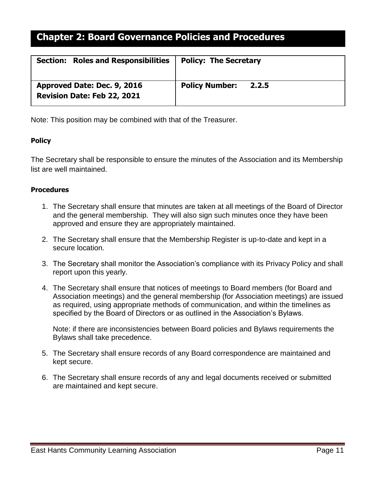| <b>Section: Roles and Responsibilities</b> | <b>Policy: The Secretary</b> |
|--------------------------------------------|------------------------------|
| Approved Date: Dec. 9, 2016                | <b>Policy Number:</b>        |
| <b>Revision Date: Feb 22, 2021</b>         | 2.2.5                        |

Note: This position may be combined with that of the Treasurer.

## <span id="page-10-0"></span>**Policy**

The Secretary shall be responsible to ensure the minutes of the Association and its Membership list are well maintained.

### **Procedures**

- 1. The Secretary shall ensure that minutes are taken at all meetings of the Board of Director and the general membership. They will also sign such minutes once they have been approved and ensure they are appropriately maintained.
- 2. The Secretary shall ensure that the Membership Register is up-to-date and kept in a secure location.
- 3. The Secretary shall monitor the Association's compliance with its Privacy Policy and shall report upon this yearly.
- 4. The Secretary shall ensure that notices of meetings to Board members (for Board and Association meetings) and the general membership (for Association meetings) are issued as required, using appropriate methods of communication, and within the timelines as specified by the Board of Directors or as outlined in the Association's Bylaws.

Note: if there are inconsistencies between Board policies and Bylaws requirements the Bylaws shall take precedence.

- 5. The Secretary shall ensure records of any Board correspondence are maintained and kept secure.
- 6. The Secretary shall ensure records of any and legal documents received or submitted are maintained and kept secure.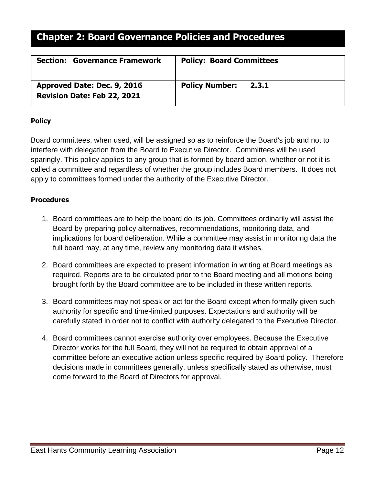| <b>Section: Governance Framework</b> | <b>Policy: Board Committees</b> |
|--------------------------------------|---------------------------------|
| Approved Date: Dec. 9, 2016          | <b>Policy Number:</b>           |
| <b>Revision Date: Feb 22, 2021</b>   | 2.3.1                           |

## <span id="page-11-0"></span>**Policy**

Board committees, when used, will be assigned so as to reinforce the Board's job and not to interfere with delegation from the Board to Executive Director. Committees will be used sparingly. This policy applies to any group that is formed by board action, whether or not it is called a committee and regardless of whether the group includes Board members. It does not apply to committees formed under the authority of the Executive Director.

- <span id="page-11-1"></span>1. Board committees are to help the board do its job. Committees ordinarily will assist the Board by preparing policy alternatives, recommendations, monitoring data, and implications for board deliberation. While a committee may assist in monitoring data the full board may, at any time, review any monitoring data it wishes.
- 2. Board committees are expected to present information in writing at Board meetings as required. Reports are to be circulated prior to the Board meeting and all motions being brought forth by the Board committee are to be included in these written reports.
- 3. Board committees may not speak or act for the Board except when formally given such authority for specific and time-limited purposes. Expectations and authority will be carefully stated in order not to conflict with authority delegated to the Executive Director.
- 4. Board committees cannot exercise authority over employees. Because the Executive Director works for the full Board, they will not be required to obtain approval of a committee before an executive action unless specific required by Board policy. Therefore decisions made in committees generally, unless specifically stated as otherwise, must come forward to the Board of Directors for approval.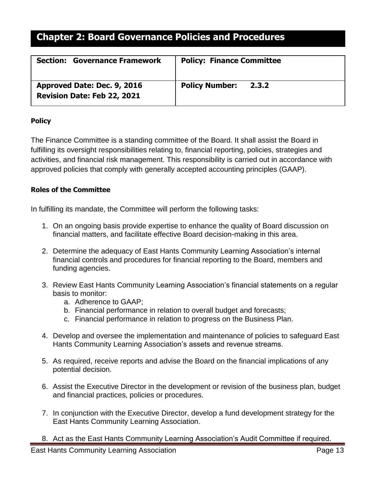| <b>Section: Governance Framework</b> | <b>Policy: Finance Committee</b> |
|--------------------------------------|----------------------------------|
| Approved Date: Dec. 9, 2016          | <b>Policy Number:</b>            |
| <b>Revision Date: Feb 22, 2021</b>   | 2.3.2                            |

## <span id="page-12-0"></span>**Policy**

The Finance Committee is a standing committee of the Board. It shall assist the Board in fulfilling its oversight responsibilities relating to, financial reporting, policies, strategies and activities, and financial risk management. This responsibility is carried out in accordance with approved policies that comply with generally accepted accounting principles (GAAP).

## **Roles of the Committee**

In fulfilling its mandate, the Committee will perform the following tasks:

- 1. On an ongoing basis provide expertise to enhance the quality of Board discussion on financial matters, and facilitate effective Board decision-making in this area.
- 2. Determine the adequacy of East Hants Community Learning Association's internal financial controls and procedures for financial reporting to the Board, members and funding agencies.
- 3. Review East Hants Community Learning Association's financial statements on a regular basis to monitor:
	- a. Adherence to GAAP;
	- b. Financial performance in relation to overall budget and forecasts;
	- c. Financial performance in relation to progress on the Business Plan.
- 4. Develop and oversee the implementation and maintenance of policies to safeguard East Hants Community Learning Association's assets and revenue streams.
- 5. As required, receive reports and advise the Board on the financial implications of any potential decision.
- 6. Assist the Executive Director in the development or revision of the business plan, budget and financial practices, policies or procedures.
- 7. In conjunction with the Executive Director, develop a fund development strategy for the East Hants Community Learning Association.
- 8. Act as the East Hants Community Learning Association's Audit Committee if required.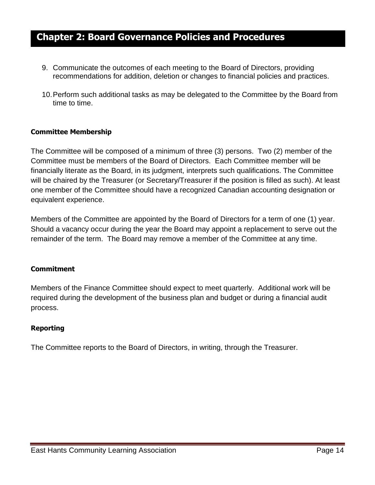- 9. Communicate the outcomes of each meeting to the Board of Directors, providing recommendations for addition, deletion or changes to financial policies and practices.
- 10.Perform such additional tasks as may be delegated to the Committee by the Board from time to time.

## **Committee Membership**

The Committee will be composed of a minimum of three (3) persons. Two (2) member of the Committee must be members of the Board of Directors. Each Committee member will be financially literate as the Board, in its judgment, interprets such qualifications. The Committee will be chaired by the Treasurer (or Secretary/Treasurer if the position is filled as such). At least one member of the Committee should have a recognized Canadian accounting designation or equivalent experience.

Members of the Committee are appointed by the Board of Directors for a term of one (1) year. Should a vacancy occur during the year the Board may appoint a replacement to serve out the remainder of the term. The Board may remove a member of the Committee at any time.

### **Commitment**

Members of the Finance Committee should expect to meet quarterly. Additional work will be required during the development of the business plan and budget or during a financial audit process.

## **Reporting**

The Committee reports to the Board of Directors, in writing, through the Treasurer.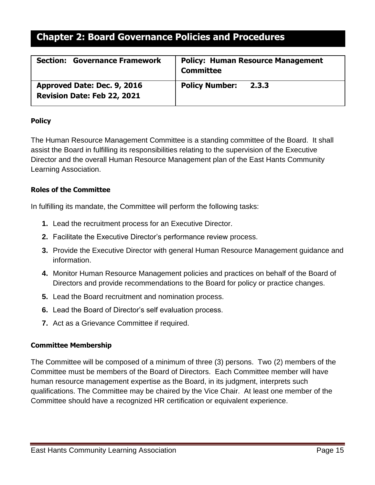| <b>Governance Framework</b>        | <b>Policy: Human Resource Management</b> |
|------------------------------------|------------------------------------------|
| <b>Section:</b>                    | <b>Committee</b>                         |
| Approved Date: Dec. 9, 2016        | <b>Policy Number:</b>                    |
| <b>Revision Date: Feb 22, 2021</b> | 2.3.3                                    |

## <span id="page-14-0"></span>**Policy**

The Human Resource Management Committee is a standing committee of the Board. It shall assist the Board in fulfilling its responsibilities relating to the supervision of the Executive Director and the overall Human Resource Management plan of the East Hants Community Learning Association.

## **Roles of the Committee**

In fulfilling its mandate, the Committee will perform the following tasks:

- **1.** Lead the recruitment process for an Executive Director.
- **2.** Facilitate the Executive Director's performance review process.
- **3.** Provide the Executive Director with general Human Resource Management guidance and information.
- **4.** Monitor Human Resource Management policies and practices on behalf of the Board of Directors and provide recommendations to the Board for policy or practice changes.
- **5.** Lead the Board recruitment and nomination process.
- **6.** Lead the Board of Director's self evaluation process.
- **7.** Act as a Grievance Committee if required.

## **Committee Membership**

The Committee will be composed of a minimum of three (3) persons. Two (2) members of the Committee must be members of the Board of Directors. Each Committee member will have human resource management expertise as the Board, in its judgment, interprets such qualifications. The Committee may be chaired by the Vice Chair. At least one member of the Committee should have a recognized HR certification or equivalent experience.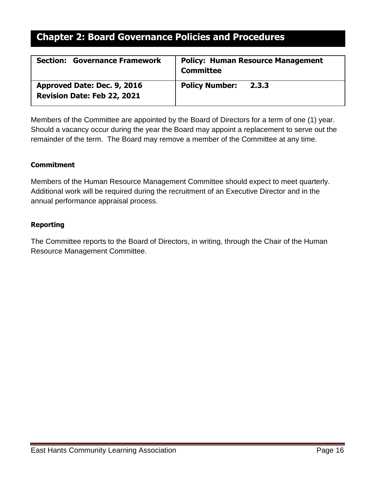| <b>Section: Governance Framework</b> | <b>Policy: Human Resource Management</b><br><b>Committee</b> |
|--------------------------------------|--------------------------------------------------------------|
| Approved Date: Dec. 9, 2016          | <b>Policy Number:</b>                                        |
| <b>Revision Date: Feb 22, 2021</b>   | 2.3.3                                                        |

Members of the Committee are appointed by the Board of Directors for a term of one (1) year. Should a vacancy occur during the year the Board may appoint a replacement to serve out the remainder of the term. The Board may remove a member of the Committee at any time.

## **Commitment**

Members of the Human Resource Management Committee should expect to meet quarterly. Additional work will be required during the recruitment of an Executive Director and in the annual performance appraisal process.

### **Reporting**

The Committee reports to the Board of Directors, in writing, through the Chair of the Human Resource Management Committee.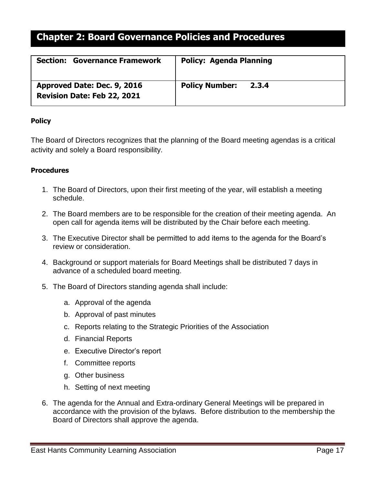| <b>Section: Governance Framework</b> | <b>Policy: Agenda Planning</b> |
|--------------------------------------|--------------------------------|
| Approved Date: Dec. 9, 2016          | <b>Policy Number:</b>          |
| <b>Revision Date: Feb 22, 2021</b>   | 2.3.4                          |

## <span id="page-16-0"></span>**Policy**

The Board of Directors recognizes that the planning of the Board meeting agendas is a critical activity and solely a Board responsibility.

- 1. The Board of Directors, upon their first meeting of the year, will establish a meeting schedule.
- 2. The Board members are to be responsible for the creation of their meeting agenda. An open call for agenda items will be distributed by the Chair before each meeting.
- 3. The Executive Director shall be permitted to add items to the agenda for the Board's review or consideration.
- 4. Background or support materials for Board Meetings shall be distributed 7 days in advance of a scheduled board meeting.
- 5. The Board of Directors standing agenda shall include:
	- a. Approval of the agenda
	- b. Approval of past minutes
	- c. Reports relating to the Strategic Priorities of the Association
	- d. Financial Reports
	- e. Executive Director's report
	- f. Committee reports
	- g. Other business
	- h. Setting of next meeting
- 6. The agenda for the Annual and Extra-ordinary General Meetings will be prepared in accordance with the provision of the bylaws. Before distribution to the membership the Board of Directors shall approve the agenda.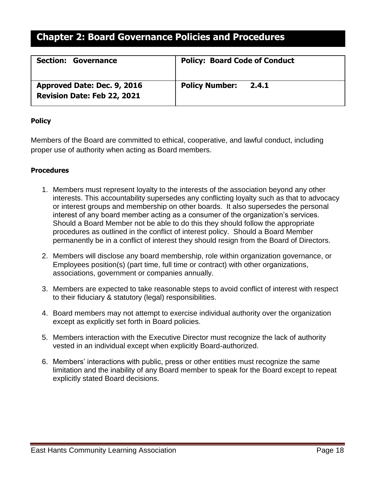| <b>Section: Governance</b>         | <b>Policy: Board Code of Conduct</b> |
|------------------------------------|--------------------------------------|
| Approved Date: Dec. 9, 2016        | <b>Policy Number:</b>                |
| <b>Revision Date: Feb 22, 2021</b> | 2.4.1                                |

## <span id="page-17-0"></span>**Policy**

Members of the Board are committed to ethical, cooperative, and lawful conduct, including proper use of authority when acting as Board members.

- <span id="page-17-1"></span>1. Members must represent loyalty to the interests of the association beyond any other interests. This accountability supersedes any conflicting loyalty such as that to advocacy or interest groups and membership on other boards. It also supersedes the personal interest of any board member acting as a consumer of the organization's services. Should a Board Member not be able to do this they should follow the appropriate procedures as outlined in the conflict of interest policy. Should a Board Member permanently be in a conflict of interest they should resign from the Board of Directors.
- 2. Members will disclose any board membership, role within organization governance, or Employees position(s) (part time, full time or contract) with other organizations, associations, government or companies annually.
- 3. Members are expected to take reasonable steps to avoid conflict of interest with respect to their fiduciary & statutory (legal) responsibilities.
- 4. Board members may not attempt to exercise individual authority over the organization except as explicitly set forth in Board policies.
- 5. Members interaction with the Executive Director must recognize the lack of authority vested in an individual except when explicitly Board-authorized.
- 6. Members' interactions with public, press or other entities must recognize the same limitation and the inability of any Board member to speak for the Board except to repeat explicitly stated Board decisions.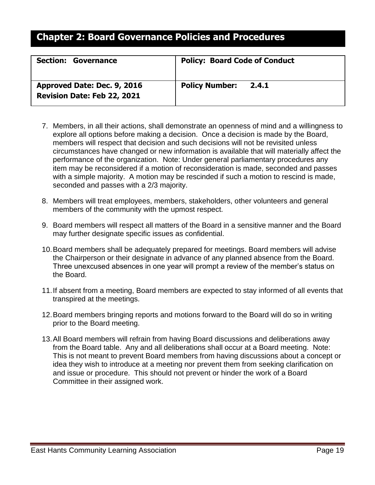| <b>Section: Governance</b>                                        | <b>Policy: Board Code of Conduct</b> |
|-------------------------------------------------------------------|--------------------------------------|
| Approved Date: Dec. 9, 2016<br><b>Revision Date: Feb 22, 2021</b> | <b>Policy Number: 2.4.1</b>          |

- 7. Members, in all their actions, shall demonstrate an openness of mind and a willingness to explore all options before making a decision. Once a decision is made by the Board, members will respect that decision and such decisions will not be revisited unless circumstances have changed or new information is available that will materially affect the performance of the organization. Note: Under general parliamentary procedures any item may be reconsidered if a motion of reconsideration is made, seconded and passes with a simple majority. A motion may be rescinded if such a motion to rescind is made, seconded and passes with a 2/3 majority.
- 8. Members will treat employees, members, stakeholders, other volunteers and general members of the community with the upmost respect.
- 9. Board members will respect all matters of the Board in a sensitive manner and the Board may further designate specific issues as confidential.
- 10.Board members shall be adequately prepared for meetings. Board members will advise the Chairperson or their designate in advance of any planned absence from the Board. Three unexcused absences in one year will prompt a review of the member's status on the Board.
- 11.If absent from a meeting, Board members are expected to stay informed of all events that transpired at the meetings.
- 12.Board members bringing reports and motions forward to the Board will do so in writing prior to the Board meeting.
- 13.All Board members will refrain from having Board discussions and deliberations away from the Board table. Any and all deliberations shall occur at a Board meeting. Note: This is not meant to prevent Board members from having discussions about a concept or idea they wish to introduce at a meeting nor prevent them from seeking clarification on and issue or procedure. This should not prevent or hinder the work of a Board Committee in their assigned work.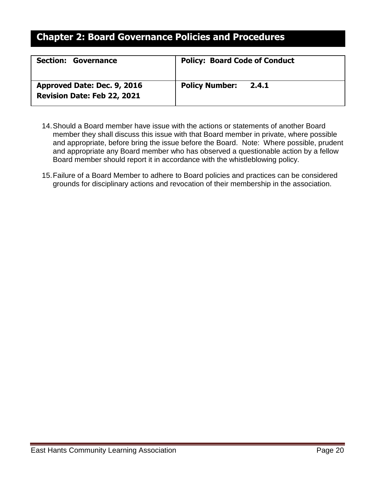| <b>Section: Governance</b>                                        | <b>Policy: Board Code of Conduct</b> |
|-------------------------------------------------------------------|--------------------------------------|
| Approved Date: Dec. 9, 2016<br><b>Revision Date: Feb 22, 2021</b> | <b>Policy Number: 2.4.1</b>          |

- 14.Should a Board member have issue with the actions or statements of another Board member they shall discuss this issue with that Board member in private, where possible and appropriate, before bring the issue before the Board. Note: Where possible, prudent and appropriate any Board member who has observed a questionable action by a fellow Board member should report it in accordance with the whistleblowing policy.
- 15.Failure of a Board Member to adhere to Board policies and practices can be considered grounds for disciplinary actions and revocation of their membership in the association.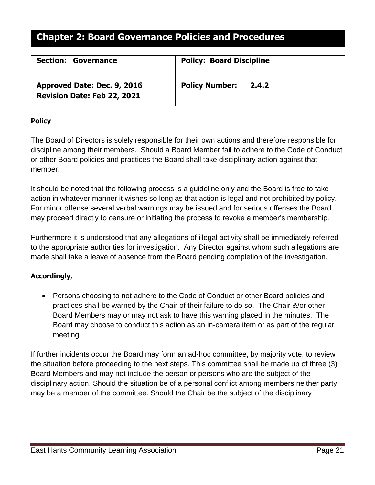| <b>Section: Governance</b>         | <b>Policy: Board Discipline</b> |
|------------------------------------|---------------------------------|
| Approved Date: Dec. 9, 2016        | <b>Policy Number:</b>           |
| <b>Revision Date: Feb 22, 2021</b> | 2.4.2                           |

## <span id="page-20-0"></span>**Policy**

The Board of Directors is solely responsible for their own actions and therefore responsible for discipline among their members. Should a Board Member fail to adhere to the Code of Conduct or other Board policies and practices the Board shall take disciplinary action against that member.

It should be noted that the following process is a guideline only and the Board is free to take action in whatever manner it wishes so long as that action is legal and not prohibited by policy. For minor offense several verbal warnings may be issued and for serious offenses the Board may proceed directly to censure or initiating the process to revoke a member's membership.

Furthermore it is understood that any allegations of illegal activity shall be immediately referred to the appropriate authorities for investigation. Any Director against whom such allegations are made shall take a leave of absence from the Board pending completion of the investigation.

## **Accordingly**,

• Persons choosing to not adhere to the Code of Conduct or other Board policies and practices shall be warned by the Chair of their failure to do so. The Chair &/or other Board Members may or may not ask to have this warning placed in the minutes. The Board may choose to conduct this action as an in-camera item or as part of the regular meeting.

If further incidents occur the Board may form an ad-hoc committee, by majority vote, to review the situation before proceeding to the next steps. This committee shall be made up of three (3) Board Members and may not include the person or persons who are the subject of the disciplinary action. Should the situation be of a personal conflict among members neither party may be a member of the committee. Should the Chair be the subject of the disciplinary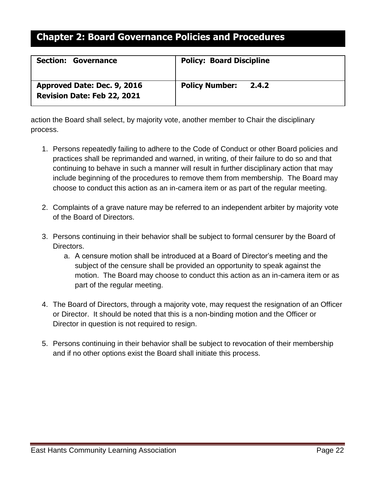| <b>Section: Governance</b>                                        | <b>Policy: Board Discipline</b> |
|-------------------------------------------------------------------|---------------------------------|
| Approved Date: Dec. 9, 2016<br><b>Revision Date: Feb 22, 2021</b> | <b>Policy Number: 2.4.2</b>     |

action the Board shall select, by majority vote, another member to Chair the disciplinary process.

- 1. Persons repeatedly failing to adhere to the Code of Conduct or other Board policies and practices shall be reprimanded and warned, in writing, of their failure to do so and that continuing to behave in such a manner will result in further disciplinary action that may include beginning of the procedures to remove them from membership. The Board may choose to conduct this action as an in-camera item or as part of the regular meeting.
- 2. Complaints of a grave nature may be referred to an independent arbiter by majority vote of the Board of Directors.
- 3. Persons continuing in their behavior shall be subject to formal censurer by the Board of Directors.
	- a. A censure motion shall be introduced at a Board of Director's meeting and the subject of the censure shall be provided an opportunity to speak against the motion. The Board may choose to conduct this action as an in-camera item or as part of the regular meeting.
- 4. The Board of Directors, through a majority vote, may request the resignation of an Officer or Director. It should be noted that this is a non-binding motion and the Officer or Director in question is not required to resign.
- 5. Persons continuing in their behavior shall be subject to revocation of their membership and if no other options exist the Board shall initiate this process.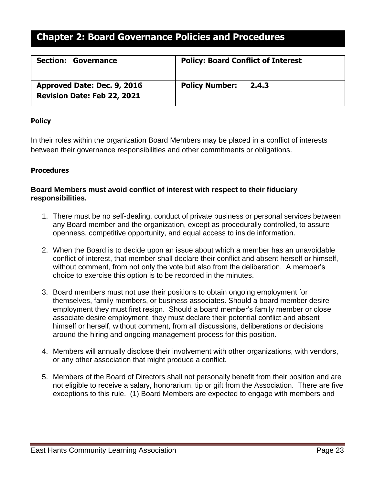| <b>Section: Governance</b>         | <b>Policy: Board Conflict of Interest</b> |
|------------------------------------|-------------------------------------------|
| Approved Date: Dec. 9, 2016        | <b>Policy Number:</b>                     |
| <b>Revision Date: Feb 22, 2021</b> | 2.4.3                                     |

## <span id="page-22-0"></span>**Policy**

In their roles within the organization Board Members may be placed in a conflict of interests between their governance responsibilities and other commitments or obligations.

## **Procedures**

## **Board Members must avoid conflict of interest with respect to their fiduciary responsibilities.**

- 1. There must be no self-dealing, conduct of private business or personal services between any Board member and the organization, except as procedurally controlled, to assure openness, competitive opportunity, and equal access to inside information.
- 2. When the Board is to decide upon an issue about which a member has an unavoidable conflict of interest, that member shall declare their conflict and absent herself or himself, without comment, from not only the vote but also from the deliberation. A member's choice to exercise this option is to be recorded in the minutes.
- 3. Board members must not use their positions to obtain ongoing employment for themselves, family members, or business associates. Should a board member desire employment they must first resign. Should a board member's family member or close associate desire employment, they must declare their potential conflict and absent himself or herself, without comment, from all discussions, deliberations or decisions around the hiring and ongoing management process for this position.
- 4. Members will annually disclose their involvement with other organizations, with vendors, or any other association that might produce a conflict.
- 5. Members of the Board of Directors shall not personally benefit from their position and are not eligible to receive a salary, honorarium, tip or gift from the Association. There are five exceptions to this rule. (1) Board Members are expected to engage with members and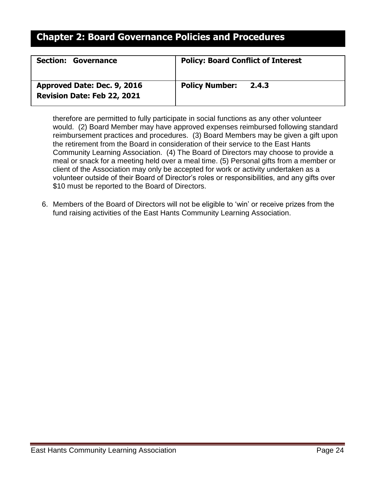| <b>Section: Governance</b>         | <b>Policy: Board Conflict of Interest</b> |
|------------------------------------|-------------------------------------------|
| Approved Date: Dec. 9, 2016        | <b>Policy Number:</b>                     |
| <b>Revision Date: Feb 22, 2021</b> | 2.4.3                                     |

therefore are permitted to fully participate in social functions as any other volunteer would. (2) Board Member may have approved expenses reimbursed following standard reimbursement practices and procedures. (3) Board Members may be given a gift upon the retirement from the Board in consideration of their service to the East Hants Community Learning Association. (4) The Board of Directors may choose to provide a meal or snack for a meeting held over a meal time. (5) Personal gifts from a member or client of the Association may only be accepted for work or activity undertaken as a volunteer outside of their Board of Director's roles or responsibilities, and any gifts over \$10 must be reported to the Board of Directors.

6. Members of the Board of Directors will not be eligible to 'win' or receive prizes from the fund raising activities of the East Hants Community Learning Association.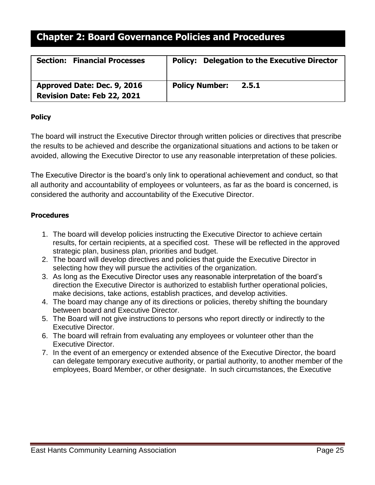| <b>Section: Financial Processes</b> | <b>Policy: Delegation to the Executive Director</b> |
|-------------------------------------|-----------------------------------------------------|
| Approved Date: Dec. 9, 2016         | <b>Policy Number:</b>                               |
| <b>Revision Date: Feb 22, 2021</b>  | 2.5.1                                               |

## <span id="page-24-0"></span>**Policy**

The board will instruct the Executive Director through written policies or directives that prescribe the results to be achieved and describe the organizational situations and actions to be taken or avoided, allowing the Executive Director to use any reasonable interpretation of these policies.

The Executive Director is the board's only link to operational achievement and conduct, so that all authority and accountability of employees or volunteers, as far as the board is concerned, is considered the authority and accountability of the Executive Director.

- <span id="page-24-1"></span>1. The board will develop policies instructing the Executive Director to achieve certain results, for certain recipients, at a specified cost. These will be reflected in the approved strategic plan, business plan, priorities and budget.
- 2. The board will develop directives and policies that guide the Executive Director in selecting how they will pursue the activities of the organization.
- 3. As long as the Executive Director uses any reasonable interpretation of the board's direction the Executive Director is authorized to establish further operational policies, make decisions, take actions, establish practices, and develop activities.
- 4. The board may change any of its directions or policies, thereby shifting the boundary between board and Executive Director.
- 5. The Board will not give instructions to persons who report directly or indirectly to the Executive Director.
- 6. The board will refrain from evaluating any employees or volunteer other than the Executive Director.
- 7. In the event of an emergency or extended absence of the Executive Director, the board can delegate temporary executive authority, or partial authority, to another member of the employees, Board Member, or other designate. In such circumstances, the Executive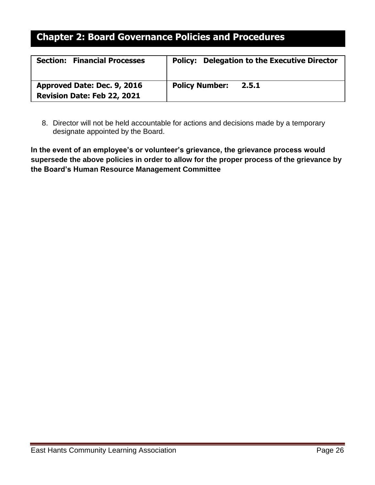| <b>Section: Financial Processes</b> | <b>Policy: Delegation to the Executive Director</b> |
|-------------------------------------|-----------------------------------------------------|
| Approved Date: Dec. 9, 2016         | <b>Policy Number:</b>                               |
| <b>Revision Date: Feb 22, 2021</b>  | 2.5.1                                               |

8. Director will not be held accountable for actions and decisions made by a temporary designate appointed by the Board.

**In the event of an employee's or volunteer's grievance, the grievance process would supersede the above policies in order to allow for the proper process of the grievance by the Board's Human Resource Management Committee**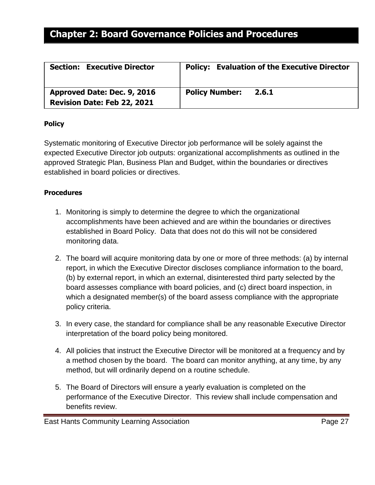| <b>Section: Executive Director</b> | <b>Policy: Evaluation of the Executive Director</b> |
|------------------------------------|-----------------------------------------------------|
| Approved Date: Dec. 9, 2016        | <b>Policy Number:</b>                               |
| Revision Date: Feb 22, 2021        | 2.6.1                                               |

### <span id="page-26-0"></span>**Policy**

Systematic monitoring of Executive Director job performance will be solely against the expected Executive Director job outputs: organizational accomplishments as outlined in the approved Strategic Plan, Business Plan and Budget, within the boundaries or directives established in board policies or directives.

- <span id="page-26-1"></span>1. Monitoring is simply to determine the degree to which the organizational accomplishments have been achieved and are within the boundaries or directives established in Board Policy. Data that does not do this will not be considered monitoring data.
- 2. The board will acquire monitoring data by one or more of three methods: (a) by internal report, in which the Executive Director discloses compliance information to the board, (b) by external report, in which an external, disinterested third party selected by the board assesses compliance with board policies, and (c) direct board inspection, in which a designated member(s) of the board assess compliance with the appropriate policy criteria.
- 3. In every case, the standard for compliance shall be any reasonable Executive Director interpretation of the board policy being monitored.
- 4. All policies that instruct the Executive Director will be monitored at a frequency and by a method chosen by the board. The board can monitor anything, at any time, by any method, but will ordinarily depend on a routine schedule.
- 5. The Board of Directors will ensure a yearly evaluation is completed on the performance of the Executive Director. This review shall include compensation and benefits review.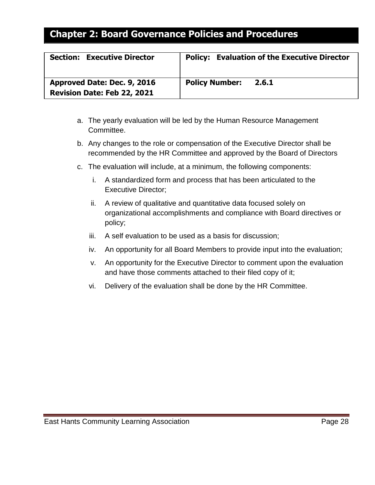| <b>Section: Executive Director</b> | <b>Policy: Evaluation of the Executive Director</b> |
|------------------------------------|-----------------------------------------------------|
| Approved Date: Dec. 9, 2016        | <b>Policy Number:</b>                               |
| Revision Date: Feb 22, 2021        | 2.6.1                                               |

- a. The yearly evaluation will be led by the Human Resource Management Committee.
- b. Any changes to the role or compensation of the Executive Director shall be recommended by the HR Committee and approved by the Board of Directors
- c. The evaluation will include, at a minimum, the following components:
	- i. A standardized form and process that has been articulated to the Executive Director;
	- ii. A review of qualitative and quantitative data focused solely on organizational accomplishments and compliance with Board directives or policy;
	- iii. A self evaluation to be used as a basis for discussion;
	- iv. An opportunity for all Board Members to provide input into the evaluation;
	- v. An opportunity for the Executive Director to comment upon the evaluation and have those comments attached to their filed copy of it;
	- vi. Delivery of the evaluation shall be done by the HR Committee.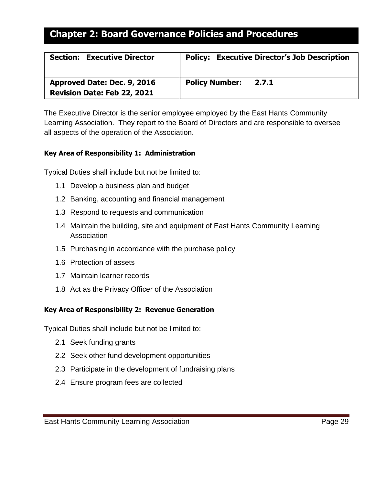| <b>Section: Executive Director</b> | <b>Policy: Executive Director's Job Description</b> |
|------------------------------------|-----------------------------------------------------|
| Approved Date: Dec. 9, 2016        | <b>Policy Number:</b>                               |
| <b>Revision Date: Feb 22, 2021</b> | 2.7.1                                               |

The Executive Director is the senior employee employed by the East Hants Community Learning Association. They report to the Board of Directors and are responsible to oversee all aspects of the operation of the Association.

## <span id="page-28-0"></span>**Key Area of Responsibility 1: Administration**

Typical Duties shall include but not be limited to:

- 1.1 Develop a business plan and budget
- 1.2 Banking, accounting and financial management
- 1.3 Respond to requests and communication
- 1.4 Maintain the building, site and equipment of East Hants Community Learning **Association**
- 1.5 Purchasing in accordance with the purchase policy
- 1.6 Protection of assets
- 1.7 Maintain learner records
- 1.8 Act as the Privacy Officer of the Association

## **Key Area of Responsibility 2: Revenue Generation**

Typical Duties shall include but not be limited to:

- 2.1 Seek funding grants
- 2.2 Seek other fund development opportunities
- 2.3 Participate in the development of fundraising plans
- 2.4 Ensure program fees are collected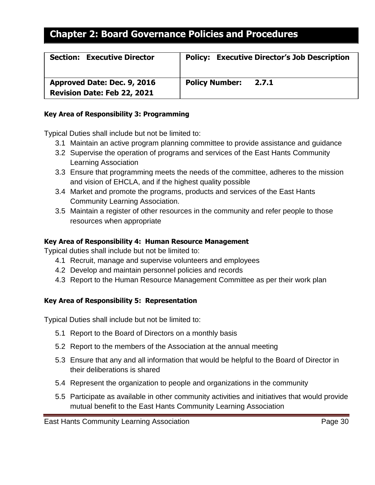| <b>Section: Executive Director</b> | <b>Policy: Executive Director's Job Description</b> |
|------------------------------------|-----------------------------------------------------|
| Approved Date: Dec. 9, 2016        | <b>Policy Number:</b>                               |
| <b>Revision Date: Feb 22, 2021</b> | 2.7.1                                               |

### **Key Area of Responsibility 3: Programming**

Typical Duties shall include but not be limited to:

- 3.1 Maintain an active program planning committee to provide assistance and guidance
- 3.2 Supervise the operation of programs and services of the East Hants Community Learning Association
- 3.3 Ensure that programming meets the needs of the committee, adheres to the mission and vision of EHCLA, and if the highest quality possible
- 3.4 Market and promote the programs, products and services of the East Hants Community Learning Association.
- 3.5 Maintain a register of other resources in the community and refer people to those resources when appropriate

## **Key Area of Responsibility 4: Human Resource Management**

Typical duties shall include but not be limited to:

- 4.1 Recruit, manage and supervise volunteers and employees
- 4.2 Develop and maintain personnel policies and records
- 4.3 Report to the Human Resource Management Committee as per their work plan

## **Key Area of Responsibility 5: Representation**

Typical Duties shall include but not be limited to:

- 5.1 Report to the Board of Directors on a monthly basis
- 5.2 Report to the members of the Association at the annual meeting
- 5.3 Ensure that any and all information that would be helpful to the Board of Director in their deliberations is shared
- 5.4 Represent the organization to people and organizations in the community
- 5.5 Participate as available in other community activities and initiatives that would provide mutual benefit to the East Hants Community Learning Association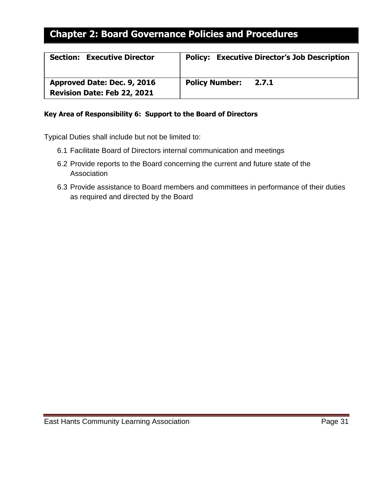| <b>Section: Executive Director</b> | <b>Policy: Executive Director's Job Description</b> |
|------------------------------------|-----------------------------------------------------|
| Approved Date: Dec. 9, 2016        | <b>Policy Number:</b>                               |
| <b>Revision Date: Feb 22, 2021</b> | 2.7.1                                               |

### **Key Area of Responsibility 6: Support to the Board of Directors**

Typical Duties shall include but not be limited to:

- 6.1 Facilitate Board of Directors internal communication and meetings
- 6.2 Provide reports to the Board concerning the current and future state of the Association
- 6.3 Provide assistance to Board members and committees in performance of their duties as required and directed by the Board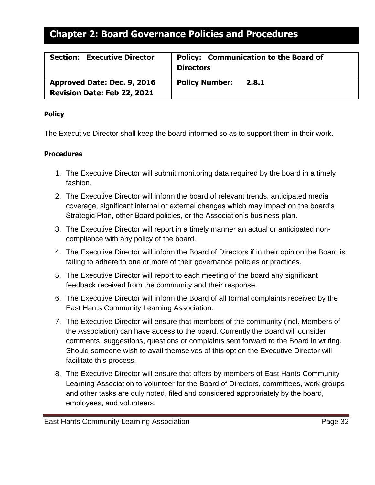| <b>Section: Executive Director</b> | <b>Policy: Communication to the Board of</b><br><b>Directors</b> |
|------------------------------------|------------------------------------------------------------------|
| Approved Date: Dec. 9, 2016        | <b>Policy Number:</b>                                            |
| <b>Revision Date: Feb 22, 2021</b> | 2.8.1                                                            |

### <span id="page-31-0"></span>**Policy**

The Executive Director shall keep the board informed so as to support them in their work.

- 1. The Executive Director will submit monitoring data required by the board in a timely fashion.
- 2. The Executive Director will inform the board of relevant trends, anticipated media coverage, significant internal or external changes which may impact on the board's Strategic Plan, other Board policies, or the Association's business plan.
- 3. The Executive Director will report in a timely manner an actual or anticipated noncompliance with any policy of the board.
- 4. The Executive Director will inform the Board of Directors if in their opinion the Board is failing to adhere to one or more of their governance policies or practices.
- 5. The Executive Director will report to each meeting of the board any significant feedback received from the community and their response.
- 6. The Executive Director will inform the Board of all formal complaints received by the East Hants Community Learning Association.
- 7. The Executive Director will ensure that members of the community (incl. Members of the Association) can have access to the board. Currently the Board will consider comments, suggestions, questions or complaints sent forward to the Board in writing. Should someone wish to avail themselves of this option the Executive Director will facilitate this process.
- 8. The Executive Director will ensure that offers by members of East Hants Community Learning Association to volunteer for the Board of Directors, committees, work groups and other tasks are duly noted, filed and considered appropriately by the board, employees, and volunteers.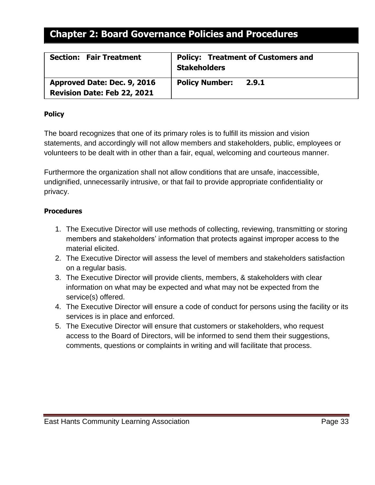| <b>Section: Fair Treatment</b>     | <b>Policy: Treatment of Customers and</b><br><b>Stakeholders</b> |
|------------------------------------|------------------------------------------------------------------|
| Approved Date: Dec. 9, 2016        | <b>Policy Number:</b>                                            |
| <b>Revision Date: Feb 22, 2021</b> | 2.9.1                                                            |

### <span id="page-32-0"></span>**Policy**

The board recognizes that one of its primary roles is to fulfill its mission and vision statements, and accordingly will not allow members and stakeholders, public, employees or volunteers to be dealt with in other than a fair, equal, welcoming and courteous manner.

Furthermore the organization shall not allow conditions that are unsafe, inaccessible, undignified, unnecessarily intrusive, or that fail to provide appropriate confidentiality or privacy.

- <span id="page-32-1"></span>1. The Executive Director will use methods of collecting, reviewing, transmitting or storing members and stakeholders' information that protects against improper access to the material elicited.
- 2. The Executive Director will assess the level of members and stakeholders satisfaction on a regular basis.
- 3. The Executive Director will provide clients, members, & stakeholders with clear information on what may be expected and what may not be expected from the service(s) offered.
- 4. The Executive Director will ensure a code of conduct for persons using the facility or its services is in place and enforced.
- 5. The Executive Director will ensure that customers or stakeholders, who request access to the Board of Directors, will be informed to send them their suggestions, comments, questions or complaints in writing and will facilitate that process.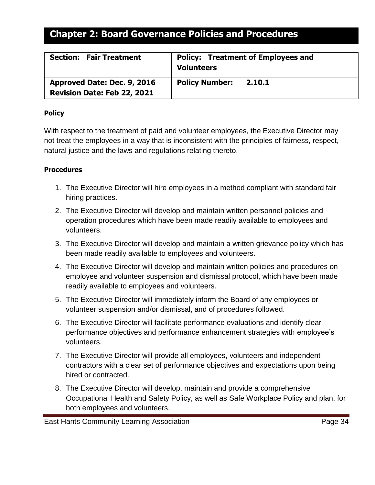| <b>Section: Fair Treatment</b> | <b>Policy: Treatment of Employees and</b><br><b>Volunteers</b> |
|--------------------------------|----------------------------------------------------------------|
| Approved Date: Dec. 9, 2016    | <b>Policy Number:</b>                                          |
| Revision Date: Feb 22, 2021    | 2.10.1                                                         |

### <span id="page-33-0"></span>**Policy**

With respect to the treatment of paid and volunteer employees, the Executive Director may not treat the employees in a way that is inconsistent with the principles of fairness, respect, natural justice and the laws and regulations relating thereto.

- 1. The Executive Director will hire employees in a method compliant with standard fair hiring practices.
- 2. The Executive Director will develop and maintain written personnel policies and operation procedures which have been made readily available to employees and volunteers.
- 3. The Executive Director will develop and maintain a written grievance policy which has been made readily available to employees and volunteers.
- 4. The Executive Director will develop and maintain written policies and procedures on employee and volunteer suspension and dismissal protocol, which have been made readily available to employees and volunteers.
- 5. The Executive Director will immediately inform the Board of any employees or volunteer suspension and/or dismissal, and of procedures followed.
- 6. The Executive Director will facilitate performance evaluations and identify clear performance objectives and performance enhancement strategies with employee's volunteers.
- 7. The Executive Director will provide all employees, volunteers and independent contractors with a clear set of performance objectives and expectations upon being hired or contracted.
- 8. The Executive Director will develop, maintain and provide a comprehensive Occupational Health and Safety Policy, as well as Safe Workplace Policy and plan, for both employees and volunteers.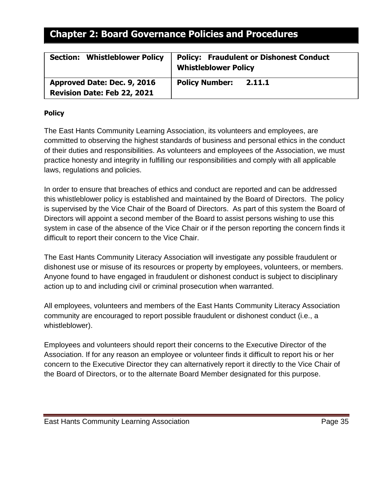| <b>Section: Whistleblower Policy</b> | <b>Policy: Fraudulent or Dishonest Conduct</b><br><b>Whistleblower Policy</b> |
|--------------------------------------|-------------------------------------------------------------------------------|
| Approved Date: Dec. 9, 2016          | <b>Policy Number:</b>                                                         |
| Revision Date: Feb 22, 2021          | 2.11.1                                                                        |

## <span id="page-34-0"></span>**Policy**

The East Hants Community Learning Association, its volunteers and employees, are committed to observing the highest standards of business and personal ethics in the conduct of their duties and responsibilities. As volunteers and employees of the Association, we must practice honesty and integrity in fulfilling our responsibilities and comply with all applicable laws, regulations and policies.

In order to ensure that breaches of ethics and conduct are reported and can be addressed this whistleblower policy is established and maintained by the Board of Directors. The policy is supervised by the Vice Chair of the Board of Directors. As part of this system the Board of Directors will appoint a second member of the Board to assist persons wishing to use this system in case of the absence of the Vice Chair or if the person reporting the concern finds it difficult to report their concern to the Vice Chair.

The East Hants Community Literacy Association will investigate any possible fraudulent or dishonest use or misuse of its resources or property by employees, volunteers, or members. Anyone found to have engaged in fraudulent or dishonest conduct is subject to disciplinary action up to and including civil or criminal prosecution when warranted.

All employees, volunteers and members of the East Hants Community Literacy Association community are encouraged to report possible fraudulent or dishonest conduct (i.e., a whistleblower).

Employees and volunteers should report their concerns to the Executive Director of the Association. If for any reason an employee or volunteer finds it difficult to report his or her concern to the Executive Director they can alternatively report it directly to the Vice Chair of the Board of Directors, or to the alternate Board Member designated for this purpose.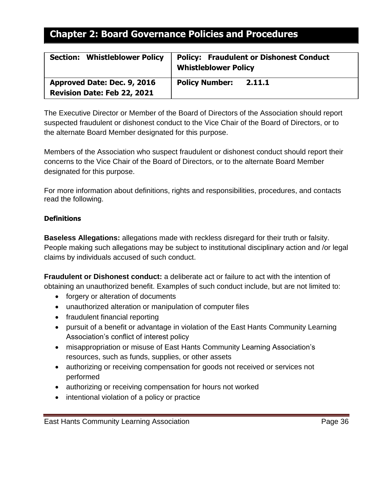| <b>Section: Whistleblower Policy</b> | <b>Policy: Fraudulent or Dishonest Conduct</b><br><b>Whistleblower Policy</b> |
|--------------------------------------|-------------------------------------------------------------------------------|
| Approved Date: Dec. 9, 2016          | <b>Policy Number:</b>                                                         |
| <b>Revision Date: Feb 22, 2021</b>   | 2.11.1                                                                        |

The Executive Director or Member of the Board of Directors of the Association should report suspected fraudulent or dishonest conduct to the Vice Chair of the Board of Directors, or to the alternate Board Member designated for this purpose.

Members of the Association who suspect fraudulent or dishonest conduct should report their concerns to the Vice Chair of the Board of Directors, or to the alternate Board Member designated for this purpose.

For more information about definitions, rights and responsibilities, procedures, and contacts read the following.

## <span id="page-35-0"></span>**Definitions**

**Baseless Allegations:** allegations made with reckless disregard for their truth or falsity. People making such allegations may be subject to institutional disciplinary action and /or legal claims by individuals accused of such conduct.

**Fraudulent or Dishonest conduct:** a deliberate act or failure to act with the intention of obtaining an unauthorized benefit. Examples of such conduct include, but are not limited to:

- forgery or alteration of documents
- unauthorized alteration or manipulation of computer files
- fraudulent financial reporting
- pursuit of a benefit or advantage in violation of the East Hants Community Learning Association's conflict of interest policy
- misappropriation or misuse of East Hants Community Learning Association's resources, such as funds, supplies, or other assets
- authorizing or receiving compensation for goods not received or services not performed
- authorizing or receiving compensation for hours not worked
- intentional violation of a policy or practice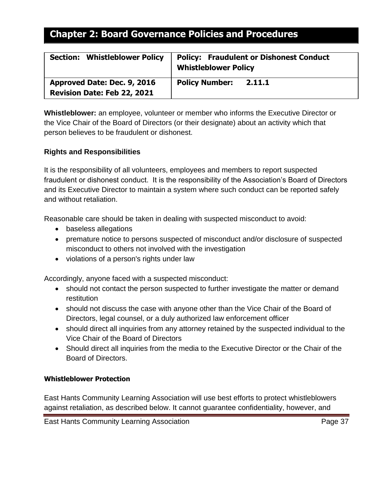| <b>Section: Whistleblower Policy</b> | <b>Policy: Fraudulent or Dishonest Conduct</b><br><b>Whistleblower Policy</b> |
|--------------------------------------|-------------------------------------------------------------------------------|
| Approved Date: Dec. 9, 2016          | <b>Policy Number:</b>                                                         |
| Revision Date: Feb 22, 2021          | 2.11.1                                                                        |

**Whistleblower:** an employee, volunteer or member who informs the Executive Director or the Vice Chair of the Board of Directors (or their designate) about an activity which that person believes to be fraudulent or dishonest.

## **Rights and Responsibilities**

It is the responsibility of all volunteers, employees and members to report suspected fraudulent or dishonest conduct. It is the responsibility of the Association's Board of Directors and its Executive Director to maintain a system where such conduct can be reported safely and without retaliation.

Reasonable care should be taken in dealing with suspected misconduct to avoid:

- baseless allegations
- premature notice to persons suspected of misconduct and/or disclosure of suspected misconduct to others not involved with the investigation
- violations of a person's rights under law

Accordingly, anyone faced with a suspected misconduct:

- should not contact the person suspected to further investigate the matter or demand restitution
- should not discuss the case with anyone other than the Vice Chair of the Board of Directors, legal counsel, or a duly authorized law enforcement officer
- should direct all inquiries from any attorney retained by the suspected individual to the Vice Chair of the Board of Directors
- Should direct all inquiries from the media to the Executive Director or the Chair of the Board of Directors.

### <span id="page-36-0"></span>**Whistleblower Protection**

East Hants Community Learning Association will use best efforts to protect whistleblowers against retaliation, as described below. It cannot guarantee confidentiality, however, and